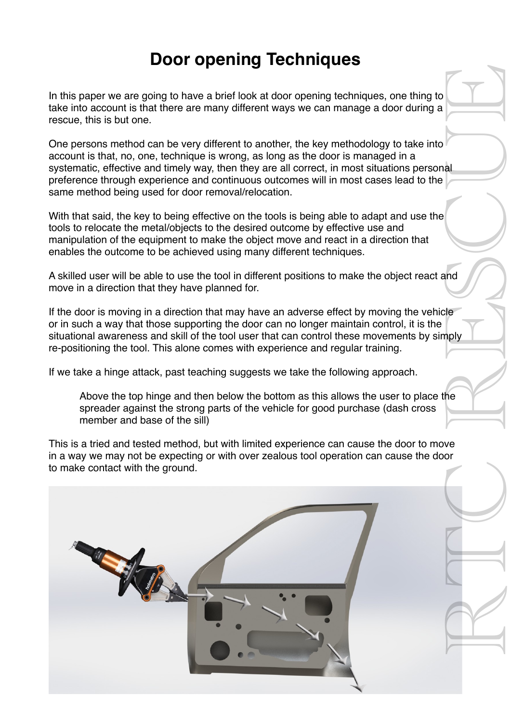## **Door opening Techniques**

In this paper we are going to have a brief look at door opening techniques, one thing to take into account is that there are many different ways we can manage a door during a rescue, this is but one.

One persons method can be very different to another, the key methodology to take into account is that, no, one, technique is wrong, as long as the door is managed in a systematic, effective and timely way, then they are all correct, in most situations personal preference through experience and continuous outcomes will in most cases lead to the same method being used for door removal/relocation.

With that said, the key to being effective on the tools is being able to adapt and use the tools to relocate the metal/objects to the desired outcome by effective use and manipulation of the equipment to make the object move and react in a direction that enables the outcome to be achieved using many different techniques.

A skilled user will be able to use the tool in different positions to make the object react and move in a direction that they have planned for.

If the door is moving in a direction that may have an adverse effect by moving the vehicle or in such a way that those supporting the door can no longer maintain control, it is the situational awareness and skill of the tool user that can control these movements by simply re-positioning the tool. This alone comes with experience and regular training.

If we take a hinge attack, past teaching suggests we take the following approach.

Above the top hinge and then below the bottom as this allows the user to place the spreader against the strong parts of the vehicle for good purchase (dash cross member and base of the sill)

This is a tried and tested method, but with limited experience can cause the door to move in a way we may not be expecting or with over zealous tool operation can cause the door to make contact with the ground.

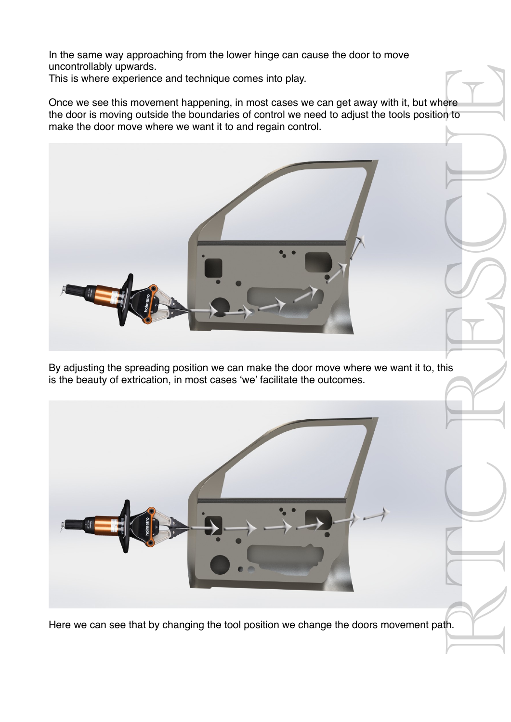In the same way approaching from the lower hinge can cause the door to move uncontrollably upwards.

This is where experience and technique comes into play.

Once we see this movement happening, in most cases we can get away with it, but where the door is moving outside the boundaries of control we need to adjust the tools position to make the door move where we want it to and regain control.



By adjusting the spreading position we can make the door move where we want it to, this is the beauty of extrication, in most cases 'we' facilitate the outcomes.



Here we can see that by changing the tool position we change the doors movement path.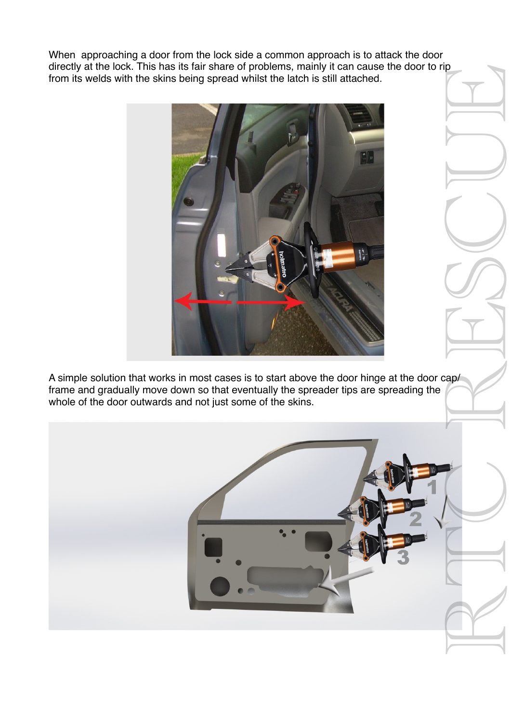When approaching a door from the lock side a common approach is to attack the door directly at the lock. This has its fair share of problems, mainly it can cause the door to rip from its welds with the skins being spread whilst the latch is still attached.



A simple solution that works in most cases is to start above the door hinge at the door cap/ frame and gradually move down so that eventually the spreader tips are spreading the whole of the door outwards and not just some of the skins.